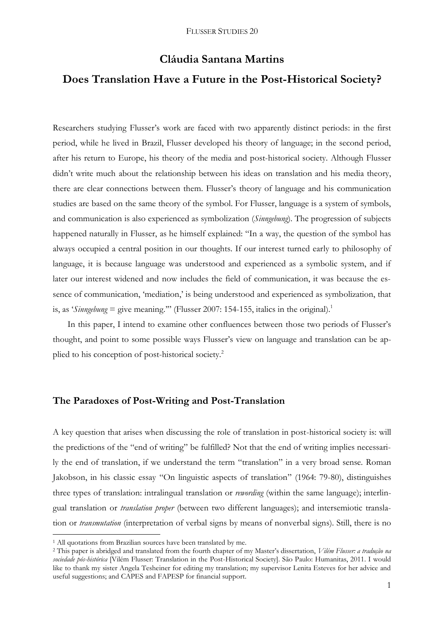# **Cláudia Santana Martins Does Translation Have a Future in the Post-Historical Society?**

Researchers studying Flusser's work are faced with two apparently distinct periods: in the first period, while he lived in Brazil, Flusser developed his theory of language; in the second period, after his return to Europe, his theory of the media and post-historical society. Although Flusser didn't write much about the relationship between his ideas on translation and his media theory, there are clear connections between them. Flusser's theory of language and his communication studies are based on the same theory of the symbol. For Flusser, language is a system of symbols, and communication is also experienced as symbolization (*Sinngebung*). The progression of subjects happened naturally in Flusser, as he himself explained: "In a way, the question of the symbol has always occupied a central position in our thoughts. If our interest turned early to philosophy of language, it is because language was understood and experienced as a symbolic system, and if later our interest widened and now includes the field of communication, it was because the essence of communication, 'mediation,' is being understood and experienced as symbolization, that is, as '*Sinngebung* = give meaning."" (Flusser 2007: 154-155, italics in the original).<sup>1</sup>

In this paper, I intend to examine other confluences between those two periods of Flusser's thought, and point to some possible ways Flusser's view on language and translation can be applied to his conception of post-historical society.<sup>2</sup>

## **The Paradoxes of Post-Writing and Post-Translation**

A key question that arises when discussing the role of translation in post-historical society is: will the predictions of the "end of writing" be fulfilled? Not that the end of writing implies necessarily the end of translation, if we understand the term "translation" in a very broad sense. Roman Jakobson, in his classic essay "On linguistic aspects of translation" (1964: 79-80), distinguishes three types of translation: intralingual translation or *rewording* (within the same language); interlingual translation or *translation proper* (between two different languages); and intersemiotic translation or *transmutation* (interpretation of verbal signs by means of nonverbal signs). Still, there is no

<sup>&</sup>lt;sup>1</sup> All quotations from Brazilian sources have been translated by me.

<sup>2</sup> This paper is abridged and translated from the fourth chapter of my Master's dissertation, *Vilém Flusser: a tradução na sociedade pós-histórica* [Vilém Flusser: Translation in the Post-Historical Society]. São Paulo: Humanitas, 2011. I would like to thank my sister Angela Tesheiner for editing my translation; my supervisor Lenita Esteves for her advice and useful suggestions; and CAPES and FAPESP for financial support.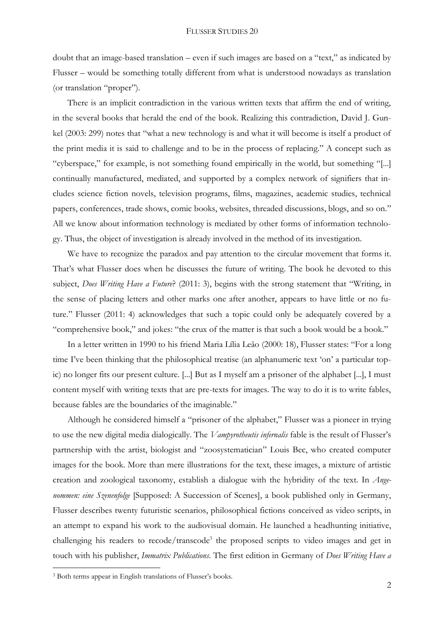doubt that an image-based translation – even if such images are based on a "text," as indicated by Flusser – would be something totally different from what is understood nowadays as translation (or translation "proper").

There is an implicit contradiction in the various written texts that affirm the end of writing, in the several books that herald the end of the book. Realizing this contradiction, David J. Gunkel (2003: 299) notes that "what a new technology is and what it will become is itself a product of the print media it is said to challenge and to be in the process of replacing." A concept such as "cyberspace," for example, is not something found empirically in the world, but something "[...] continually manufactured, mediated, and supported by a complex network of signifiers that includes science fiction novels, television programs, films, magazines, academic studies, technical papers, conferences, trade shows, comic books, websites, threaded discussions, blogs, and so on." All we know about information technology is mediated by other forms of information technology. Thus, the object of investigation is already involved in the method of its investigation.

We have to recognize the paradox and pay attention to the circular movement that forms it. That's what Flusser does when he discusses the future of writing. The book he devoted to this subject, *Does Writing Have a Future*? (2011: 3), begins with the strong statement that "Writing, in the sense of placing letters and other marks one after another, appears to have little or no future." Flusser (2011: 4) acknowledges that such a topic could only be adequately covered by a "comprehensive book," and jokes: "the crux of the matter is that such a book would be a book."

In a letter written in 1990 to his friend Maria Lília Leão (2000: 18), Flusser states: "For a long time I've been thinking that the philosophical treatise (an alphanumeric text 'on' a particular topic) no longer fits our present culture. [...] But as I myself am a prisoner of the alphabet [...], I must content myself with writing texts that are pre-texts for images. The way to do it is to write fables, because fables are the boundaries of the imaginable."

Although he considered himself a "prisoner of the alphabet," Flusser was a pioneer in trying to use the new digital media dialogically. The *Vampyrotheutis infernalis* fable is the result of Flusser's partnership with the artist, biologist and "zoosystematician" Louis Bec, who created computer images for the book. More than mere illustrations for the text, these images, a mixture of artistic creation and zoological taxonomy, establish a dialogue with the hybridity of the text. In *Angenommen: eine Szenenfolge* [Supposed: A Succession of Scenes], a book published only in Germany, Flusser describes twenty futuristic scenarios, philosophical fictions conceived as video scripts, in an attempt to expand his work to the audiovisual domain. He launched a headhunting initiative, challenging his readers to recode/transcode<sup>3</sup> the proposed scripts to video images and get in touch with his publisher, *Immatrix Publications*. The first edition in Germany of *Does Writing Have a* 

<sup>3</sup> Both terms appear in English translations of Flusser's books.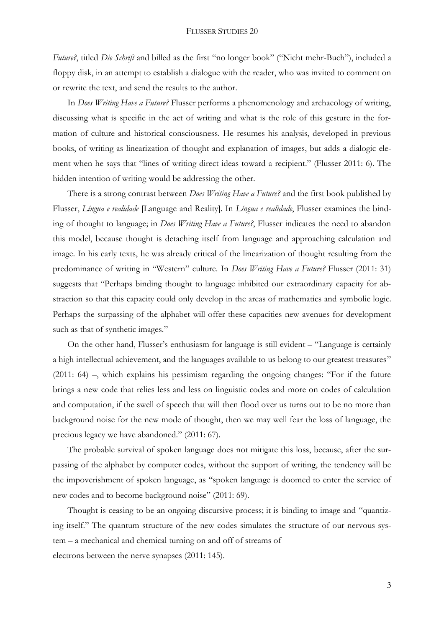*Future?*, titled *Die Schrift* and billed as the first "no longer book" ("Nicht mehr-Buch"), included a floppy disk, in an attempt to establish a dialogue with the reader, who was invited to comment on or rewrite the text, and send the results to the author.

In *Does Writing Have a Future?* Flusser performs a phenomenology and archaeology of writing, discussing what is specific in the act of writing and what is the role of this gesture in the formation of culture and historical consciousness. He resumes his analysis, developed in previous books, of writing as linearization of thought and explanation of images, but adds a dialogic element when he says that "lines of writing direct ideas toward a recipient." (Flusser 2011: 6). The hidden intention of writing would be addressing the other.

There is a strong contrast between *Does Writing Have a Future?* and the first book published by Flusser, *Língua e realidade* [Language and Reality]. In *Língua e realidade*, Flusser examines the binding of thought to language; in *Does Writing Have a Future?*, Flusser indicates the need to abandon this model, because thought is detaching itself from language and approaching calculation and image. In his early texts, he was already critical of the linearization of thought resulting from the predominance of writing in "Western" culture. In *Does Writing Have a Future?* Flusser (2011: 31) suggests that "Perhaps binding thought to language inhibited our extraordinary capacity for abstraction so that this capacity could only develop in the areas of mathematics and symbolic logic. Perhaps the surpassing of the alphabet will offer these capacities new avenues for development such as that of synthetic images."

On the other hand, Flusser's enthusiasm for language is still evident – "Language is certainly a high intellectual achievement, and the languages available to us belong to our greatest treasures" (2011: 64) –, which explains his pessimism regarding the ongoing changes: "For if the future brings a new code that relies less and less on linguistic codes and more on codes of calculation and computation, if the swell of speech that will then flood over us turns out to be no more than background noise for the new mode of thought, then we may well fear the loss of language, the precious legacy we have abandoned." (2011: 67).

The probable survival of spoken language does not mitigate this loss, because, after the surpassing of the alphabet by computer codes, without the support of writing, the tendency will be the impoverishment of spoken language, as "spoken language is doomed to enter the service of new codes and to become background noise" (2011: 69).

Thought is ceasing to be an ongoing discursive process; it is binding to image and "quantizing itself." The quantum structure of the new codes simulates the structure of our nervous system – a mechanical and chemical turning on and off of streams of electrons between the nerve synapses (2011: 145).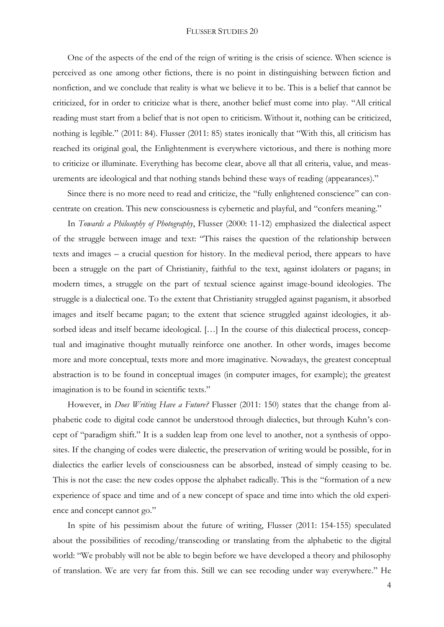One of the aspects of the end of the reign of writing is the crisis of science. When science is perceived as one among other fictions, there is no point in distinguishing between fiction and nonfiction, and we conclude that reality is what we believe it to be. This is a belief that cannot be criticized, for in order to criticize what is there, another belief must come into play. "All critical reading must start from a belief that is not open to criticism. Without it, nothing can be criticized, nothing is legible." (2011: 84). Flusser (2011: 85) states ironically that "With this, all criticism has reached its original goal, the Enlightenment is everywhere victorious, and there is nothing more to criticize or illuminate. Everything has become clear, above all that all criteria, value, and measurements are ideological and that nothing stands behind these ways of reading (appearances)."

Since there is no more need to read and criticize, the "fully enlightened conscience" can concentrate on creation. This new consciousness is cybernetic and playful, and "confers meaning."

In *Towards a Philosophy of Photography*, Flusser (2000: 11-12) emphasized the dialectical aspect of the struggle between image and text: "This raises the question of the relationship between texts and images – a crucial question for history. In the medieval period, there appears to have been a struggle on the part of Christianity, faithful to the text, against idolaters or pagans; in modern times, a struggle on the part of textual science against image-bound ideologies. The struggle is a dialectical one. To the extent that Christianity struggled against paganism, it absorbed images and itself became pagan; to the extent that science struggled against ideologies, it absorbed ideas and itself became ideological. […] In the course of this dialectical process, conceptual and imaginative thought mutually reinforce one another. In other words, images become more and more conceptual, texts more and more imaginative. Nowadays, the greatest conceptual abstraction is to be found in conceptual images (in computer images, for example); the greatest imagination is to be found in scientific texts."

However, in *Does Writing Have a Future?* Flusser (2011: 150) states that the change from alphabetic code to digital code cannot be understood through dialectics, but through Kuhn's concept of "paradigm shift." It is a sudden leap from one level to another, not a synthesis of opposites. If the changing of codes were dialectic, the preservation of writing would be possible, for in dialectics the earlier levels of consciousness can be absorbed, instead of simply ceasing to be. This is not the case: the new codes oppose the alphabet radically. This is the "formation of a new experience of space and time and of a new concept of space and time into which the old experience and concept cannot go."

In spite of his pessimism about the future of writing, Flusser (2011: 154-155) speculated about the possibilities of recoding/transcoding or translating from the alphabetic to the digital world: "We probably will not be able to begin before we have developed a theory and philosophy of translation. We are very far from this. Still we can see recoding under way everywhere." He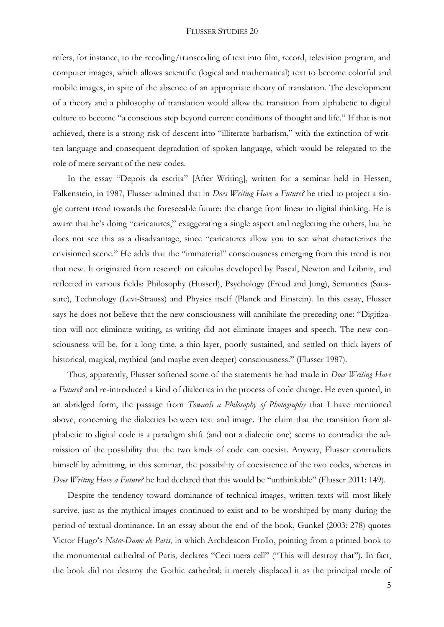refers, for instance, to the recoding/transcoding of text into film, record, television program, and computer images, which allows scientific (logical and mathematical) text to become colorful and mobile images, in spite of the absence of an appropriate theory of translation. The development of a theory and a philosophy of translation would allow the transition from alphabetic to digital culture to become "a conscious step beyond current conditions of thought and life." If that is not achieved, there is a strong risk of descent into "illiterate barbarism," with the extinction of written language and consequent degradation of spoken language, which would be relegated to the role of mere servant of the new codes.

In the essay "Depois da escrita" [After Writing], written for a seminar held in Hessen, Falkenstein, in 1987, Flusser admitted that in *Does Writing Have a Future?* he tried to project a single current trend towards the foreseeable future: the change from linear to digital thinking. He is aware that he's doing "caricatures," exaggerating a single aspect and neglecting the others, but he does not see this as a disadvantage, since "caricatures allow you to see what characterizes the envisioned scene." He adds that the "immaterial" consciousness emerging from this trend is not that new. It originated from research on calculus developed by Pascal, Newton and Leibniz, and reflected in various fields: Philosophy (Husserl), Psychology (Freud and Jung), Semantics (Saussure), Technology (Levi-Strauss) and Physics itself (Planck and Einstein). In this essay, Flusser says he does not believe that the new consciousness will annihilate the preceding one: "Digitization will not eliminate writing, as writing did not eliminate images and speech. The new consciousness will be, for a long time, a thin layer, poorly sustained, and settled on thick layers of historical, magical, mythical (and maybe even deeper) consciousness." (Flusser 1987).

Thus, apparently, Flusser softened some of the statements he had made in *Does Writing Have a Future?* and re-introduced a kind of dialectics in the process of code change. He even quoted, in an abridged form, the passage from *Towards a Philosophy of Photography* that I have mentioned above, concerning the dialectics between text and image. The claim that the transition from alphabetic to digital code is a paradigm shift (and not a dialectic one) seems to contradict the admission of the possibility that the two kinds of code can coexist. Anyway, Flusser contradicts himself by admitting, in this seminar, the possibility of coexistence of the two codes, whereas in *Does Writing Have a Future?* he had declared that this would be "unthinkable" (Flusser 2011: 149).

Despite the tendency toward dominance of technical images, written texts will most likely survive, just as the mythical images continued to exist and to be worshiped by many during the period of textual dominance. In an essay about the end of the book, Gunkel (2003: 278) quotes Victor Hugo's *Notre-Dame de Paris*, in which Archdeacon Frollo, pointing from a printed book to the monumental cathedral of Paris, declares "Ceci tuera cell" ("This will destroy that"). In fact, the book did not destroy the Gothic cathedral; it merely displaced it as the principal mode of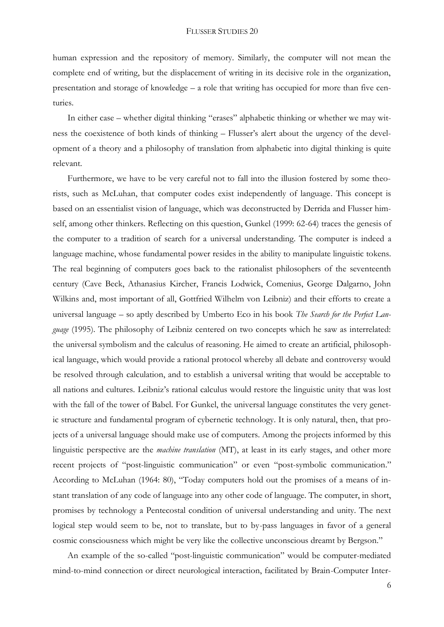human expression and the repository of memory. Similarly, the computer will not mean the complete end of writing, but the displacement of writing in its decisive role in the organization, presentation and storage of knowledge – a role that writing has occupied for more than five centuries.

In either case – whether digital thinking "erases" alphabetic thinking or whether we may witness the coexistence of both kinds of thinking – Flusser's alert about the urgency of the development of a theory and a philosophy of translation from alphabetic into digital thinking is quite relevant.

Furthermore, we have to be very careful not to fall into the illusion fostered by some theorists, such as McLuhan, that computer codes exist independently of language. This concept is based on an essentialist vision of language, which was deconstructed by Derrida and Flusser himself, among other thinkers. Reflecting on this question, Gunkel (1999: 62-64) traces the genesis of the computer to a tradition of search for a universal understanding. The computer is indeed a language machine, whose fundamental power resides in the ability to manipulate linguistic tokens. The real beginning of computers goes back to the rationalist philosophers of the seventeenth century (Cave Beck, Athanasius Kircher, Francis Lodwick, Comenius, George Dalgarno, John Wilkins and, most important of all, Gottfried Wilhelm von Leibniz) and their efforts to create a universal language – so aptly described by Umberto Eco in his book *The Search for the Perfect Language* (1995). The philosophy of Leibniz centered on two concepts which he saw as interrelated: the universal symbolism and the calculus of reasoning. He aimed to create an artificial, philosophical language, which would provide a rational protocol whereby all debate and controversy would be resolved through calculation, and to establish a universal writing that would be acceptable to all nations and cultures. Leibniz's rational calculus would restore the linguistic unity that was lost with the fall of the tower of Babel. For Gunkel, the universal language constitutes the very genetic structure and fundamental program of cybernetic technology. It is only natural, then, that projects of a universal language should make use of computers. Among the projects informed by this linguistic perspective are the *machine translation* (MT), at least in its early stages, and other more recent projects of "post-linguistic communication" or even "post-symbolic communication." According to McLuhan (1964: 80), "Today computers hold out the promises of a means of instant translation of any code of language into any other code of language. The computer, in short, promises by technology a Pentecostal condition of universal understanding and unity. The next logical step would seem to be, not to translate, but to by-pass languages in favor of a general cosmic consciousness which might be very like the collective unconscious dreamt by Bergson."

An example of the so-called "post-linguistic communication" would be computer-mediated mind-to-mind connection or direct neurological interaction, facilitated by Brain-Computer Inter-

6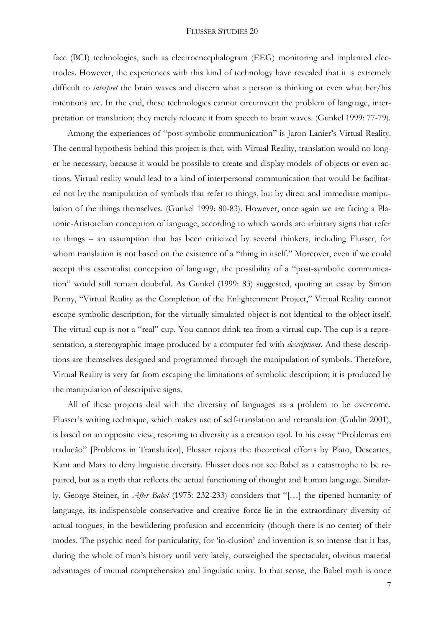face (BCI) technologies, such as electroencephalogram (EEG) monitoring and implanted electrodes. However, the experiences with this kind of technology have revealed that it is extremely difficult to *interpret* the brain waves and discern what a person is thinking or even what her/his intentions are. In the end, these technologies cannot circumvent the problem of language, interpretation or translation; they merely relocate it from speech to brain waves. (Gunkel 1999: 77-79).

Among the experiences of "post-symbolic communication" is Jaron Lanier's Virtual Reality. The central hypothesis behind this project is that, with Virtual Reality, translation would no longer be necessary, because it would be possible to create and display models of objects or even actions. Virtual reality would lead to a kind of interpersonal communication that would be facilitated not by the manipulation of symbols that refer to things, but by direct and immediate manipulation of the things themselves. (Gunkel 1999: 80-83). However, once again we are facing a Platonic-Aristotelian conception of language, according to which words are arbitrary signs that refer to things – an assumption that has been criticized by several thinkers, including Flusser, for whom translation is not based on the existence of a "thing in itself." Moreover, even if we could accept this essentialist conception of language, the possibility of a "post-symbolic communication" would still remain doubtful. As Gunkel (1999: 83) suggested, quoting an essay by Simon Penny, "Virtual Reality as the Completion of the Enlightenment Project," Virtual Reality cannot escape symbolic description, for the virtually simulated object is not identical to the object itself. The virtual cup is not a "real" cup. You cannot drink tea from a virtual cup. The cup is a representation, a stereographic image produced by a computer fed with *descriptions*. And these descriptions are themselves designed and programmed through the manipulation of symbols. Therefore, Virtual Reality is very far from escaping the limitations of symbolic description; it is produced by the manipulation of descriptive signs.

All of these projects deal with the diversity of languages as a problem to be overcome. Flusser's writing technique, which makes use of self-translation and retranslation (Guldin 2001), is based on an opposite view, resorting to diversity as a creation tool. In his essay "Problemas em tradução" [Problems in Translation], Flusser rejects the theoretical efforts by Plato, Descartes, Kant and Marx to deny linguistic diversity. Flusser does not see Babel as a catastrophe to be repaired, but as a myth that reflects the actual functioning of thought and human language. Similarly, George Steiner, in *After Babel* (1975: 232-233) considers that "[…] the ripened humanity of language, its indispensable conservative and creative force lie in the extraordinary diversity of actual tongues, in the bewildering profusion and eccentricity (though there is no center) of their modes. The psychic need for particularity, for 'in-clusion' and invention is so intense that it has, during the whole of man's history until very lately, outweighed the spectacular, obvious material advantages of mutual comprehension and linguistic unity. In that sense, the Babel myth is once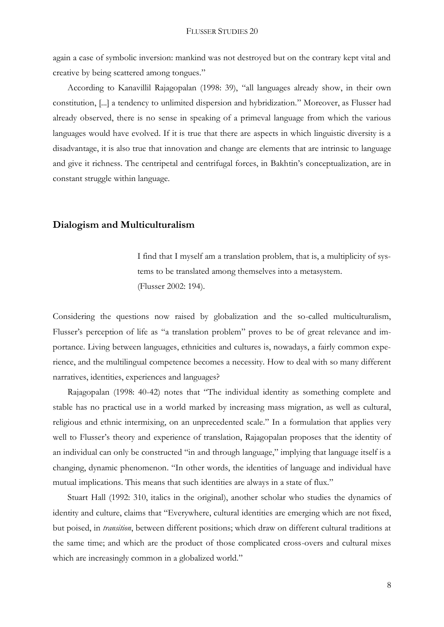again a case of symbolic inversion: mankind was not destroyed but on the contrary kept vital and creative by being scattered among tongues."

According to Kanavillil Rajagopalan (1998: 39), "all languages already show, in their own constitution, [...] a tendency to unlimited dispersion and hybridization." Moreover, as Flusser had already observed, there is no sense in speaking of a primeval language from which the various languages would have evolved. If it is true that there are aspects in which linguistic diversity is a disadvantage, it is also true that innovation and change are elements that are intrinsic to language and give it richness. The centripetal and centrifugal forces, in Bakhtin's conceptualization, are in constant struggle within language.

# **Dialogism and Multiculturalism**

I find that I myself am a translation problem, that is, a multiplicity of systems to be translated among themselves into a metasystem. (Flusser 2002: 194).

Considering the questions now raised by globalization and the so-called multiculturalism, Flusser's perception of life as "a translation problem" proves to be of great relevance and importance. Living between languages, ethnicities and cultures is, nowadays, a fairly common experience, and the multilingual competence becomes a necessity. How to deal with so many different narratives, identities, experiences and languages?

Rajagopalan (1998: 40-42) notes that "The individual identity as something complete and stable has no practical use in a world marked by increasing mass migration, as well as cultural, religious and ethnic intermixing, on an unprecedented scale." In a formulation that applies very well to Flusser's theory and experience of translation, Rajagopalan proposes that the identity of an individual can only be constructed "in and through language," implying that language itself is a changing, dynamic phenomenon. "In other words, the identities of language and individual have mutual implications. This means that such identities are always in a state of flux."

Stuart Hall (1992: 310, italics in the original), another scholar who studies the dynamics of identity and culture, claims that "Everywhere, cultural identities are emerging which are not fixed, but poised, in *transition*, between different positions; which draw on different cultural traditions at the same time; and which are the product of those complicated cross-overs and cultural mixes which are increasingly common in a globalized world."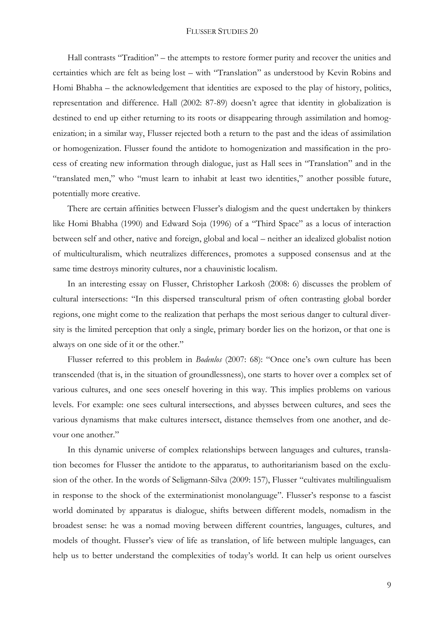Hall contrasts "Tradition" – the attempts to restore former purity and recover the unities and certainties which are felt as being lost – with "Translation" as understood by Kevin Robins and Homi Bhabha – the acknowledgement that identities are exposed to the play of history, politics, representation and difference. Hall (2002: 87-89) doesn't agree that identity in globalization is destined to end up either returning to its roots or disappearing through assimilation and homogenization; in a similar way, Flusser rejected both a return to the past and the ideas of assimilation or homogenization. Flusser found the antidote to homogenization and massification in the process of creating new information through dialogue, just as Hall sees in "Translation" and in the "translated men," who "must learn to inhabit at least two identities," another possible future, potentially more creative.

There are certain affinities between Flusser's dialogism and the quest undertaken by thinkers like Homi Bhabha (1990) and Edward Soja (1996) of a "Third Space" as a locus of interaction between self and other, native and foreign, global and local – neither an idealized globalist notion of multiculturalism, which neutralizes differences, promotes a supposed consensus and at the same time destroys minority cultures, nor a chauvinistic localism.

In an interesting essay on Flusser, Christopher Larkosh (2008: 6) discusses the problem of cultural intersections: "In this dispersed transcultural prism of often contrasting global border regions, one might come to the realization that perhaps the most serious danger to cultural diversity is the limited perception that only a single, primary border lies on the horizon, or that one is always on one side of it or the other."

Flusser referred to this problem in *Bodenlos* (2007: 68): "Once one's own culture has been transcended (that is, in the situation of groundlessness), one starts to hover over a complex set of various cultures, and one sees oneself hovering in this way. This implies problems on various levels. For example: one sees cultural intersections, and abysses between cultures, and sees the various dynamisms that make cultures intersect, distance themselves from one another, and devour one another."

In this dynamic universe of complex relationships between languages and cultures, translation becomes for Flusser the antidote to the apparatus, to authoritarianism based on the exclusion of the other. In the words of Seligmann-Silva (2009: 157), Flusser "cultivates multilingualism in response to the shock of the exterminationist monolanguage". Flusser's response to a fascist world dominated by apparatus is dialogue, shifts between different models, nomadism in the broadest sense: he was a nomad moving between different countries, languages, cultures, and models of thought. Flusser's view of life as translation, of life between multiple languages, can help us to better understand the complexities of today's world. It can help us orient ourselves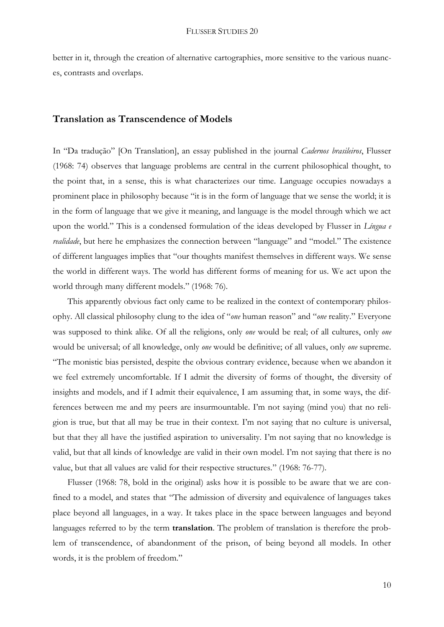better in it, through the creation of alternative cartographies, more sensitive to the various nuances, contrasts and overlaps.

## **Translation as Transcendence of Models**

In "Da tradução" [On Translation], an essay published in the journal *Cadernos brasileiros*, Flusser (1968: 74) observes that language problems are central in the current philosophical thought, to the point that, in a sense, this is what characterizes our time. Language occupies nowadays a prominent place in philosophy because "it is in the form of language that we sense the world; it is in the form of language that we give it meaning, and language is the model through which we act upon the world." This is a condensed formulation of the ideas developed by Flusser in *Língua e realidade*, but here he emphasizes the connection between "language" and "model." The existence of different languages implies that "our thoughts manifest themselves in different ways. We sense the world in different ways. The world has different forms of meaning for us. We act upon the world through many different models." (1968: 76).

This apparently obvious fact only came to be realized in the context of contemporary philosophy. All classical philosophy clung to the idea of "*one* human reason" and "*one* reality." Everyone was supposed to think alike. Of all the religions, only *one* would be real; of all cultures, only *one* would be universal; of all knowledge, only *one* would be definitive; of all values, only *one* supreme. "The monistic bias persisted, despite the obvious contrary evidence, because when we abandon it we feel extremely uncomfortable. If I admit the diversity of forms of thought, the diversity of insights and models, and if I admit their equivalence, I am assuming that, in some ways, the differences between me and my peers are insurmountable. I'm not saying (mind you) that no religion is true, but that all may be true in their context. I'm not saying that no culture is universal, but that they all have the justified aspiration to universality. I'm not saying that no knowledge is valid, but that all kinds of knowledge are valid in their own model. I'm not saying that there is no value, but that all values are valid for their respective structures." (1968: 76-77).

Flusser (1968: 78, bold in the original) asks how it is possible to be aware that we are confined to a model, and states that "The admission of diversity and equivalence of languages takes place beyond all languages, in a way. It takes place in the space between languages and beyond languages referred to by the term **translation**. The problem of translation is therefore the problem of transcendence, of abandonment of the prison, of being beyond all models. In other words, it is the problem of freedom."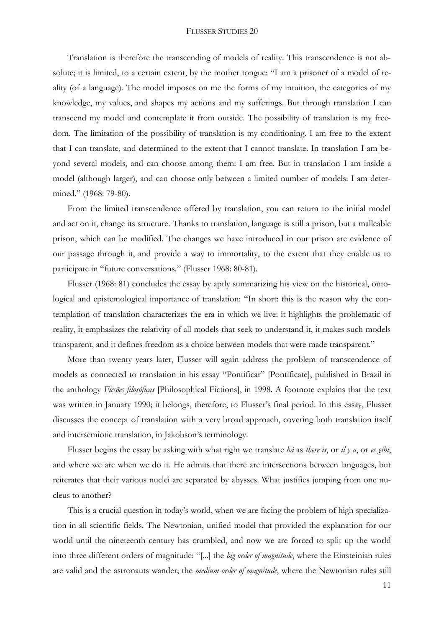Translation is therefore the transcending of models of reality. This transcendence is not absolute; it is limited, to a certain extent, by the mother tongue: "I am a prisoner of a model of reality (of a language). The model imposes on me the forms of my intuition, the categories of my knowledge, my values, and shapes my actions and my sufferings. But through translation I can transcend my model and contemplate it from outside. The possibility of translation is my freedom. The limitation of the possibility of translation is my conditioning. I am free to the extent that I can translate, and determined to the extent that I cannot translate. In translation I am beyond several models, and can choose among them: I am free. But in translation I am inside a model (although larger), and can choose only between a limited number of models: I am determined." (1968: 79-80).

From the limited transcendence offered by translation, you can return to the initial model and act on it, change its structure. Thanks to translation, language is still a prison, but a malleable prison, which can be modified. The changes we have introduced in our prison are evidence of our passage through it, and provide a way to immortality, to the extent that they enable us to participate in "future conversations." (Flusser 1968: 80-81).

Flusser (1968: 81) concludes the essay by aptly summarizing his view on the historical, ontological and epistemological importance of translation: "In short: this is the reason why the contemplation of translation characterizes the era in which we live: it highlights the problematic of reality, it emphasizes the relativity of all models that seek to understand it, it makes such models transparent, and it defines freedom as a choice between models that were made transparent."

More than twenty years later, Flusser will again address the problem of transcendence of models as connected to translation in his essay "Pontificar" [Pontificate], published in Brazil in the anthology *Ficções filosóficas* [Philosophical Fictions], in 1998. A footnote explains that the text was written in January 1990; it belongs, therefore, to Flusser's final period. In this essay, Flusser discusses the concept of translation with a very broad approach, covering both translation itself and intersemiotic translation, in Jakobson's terminology.

Flusser begins the essay by asking with what right we translate *há* as *there is*, or *il y a*, or *es gibt*, and where we are when we do it. He admits that there are intersections between languages, but reiterates that their various nuclei are separated by abysses. What justifies jumping from one nucleus to another?

This is a crucial question in today's world, when we are facing the problem of high specialization in all scientific fields. The Newtonian, unified model that provided the explanation for our world until the nineteenth century has crumbled, and now we are forced to split up the world into three different orders of magnitude: "[...] the *big order of magnitude*, where the Einsteinian rules are valid and the astronauts wander; the *medium order of magnitude*, where the Newtonian rules still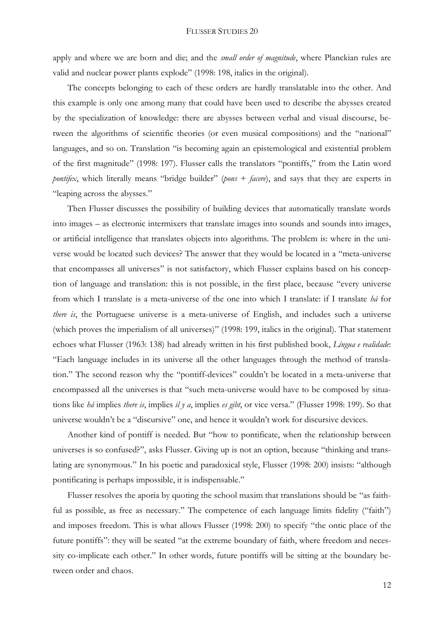apply and where we are born and die; and the *small order of magnitude*, where Planckian rules are valid and nuclear power plants explode" (1998: 198, italics in the original).

The concepts belonging to each of these orders are hardly translatable into the other. And this example is only one among many that could have been used to describe the abysses created by the specialization of knowledge: there are abysses between verbal and visual discourse, between the algorithms of scientific theories (or even musical compositions) and the "national" languages, and so on. Translation "is becoming again an epistemological and existential problem of the first magnitude" (1998: 197). Flusser calls the translators "pontiffs," from the Latin word *pontifex*, which literally means "bridge builder" (*pons* + *facere*), and says that they are experts in "leaping across the abysses."

Then Flusser discusses the possibility of building devices that automatically translate words into images – as electronic intermixers that translate images into sounds and sounds into images, or artificial intelligence that translates objects into algorithms. The problem is: where in the universe would be located such devices? The answer that they would be located in a "meta-universe that encompasses all universes" is not satisfactory, which Flusser explains based on his conception of language and translation: this is not possible, in the first place, because "every universe from which I translate is a meta-universe of the one into which I translate: if I translate *há* for *there is*, the Portuguese universe is a meta-universe of English, and includes such a universe (which proves the imperialism of all universes)" (1998: 199, italics in the original). That statement echoes what Flusser (1963: 138) had already written in his first published book, *Língua e realidade*: "Each language includes in its universe all the other languages through the method of translation." The second reason why the "pontiff-devices" couldn't be located in a meta-universe that encompassed all the universes is that "such meta-universe would have to be composed by situations like *há* implies *there is*, implies *il y a*, implies *es gibt*, or vice versa." (Flusser 1998: 199). So that universe wouldn't be a "discursive" one, and hence it wouldn't work for discursive devices.

Another kind of pontiff is needed. But "how to pontificate, when the relationship between universes is so confused?", asks Flusser. Giving up is not an option, because "thinking and translating are synonymous." In his poetic and paradoxical style, Flusser (1998: 200) insists: "although pontificating is perhaps impossible, it is indispensable."

Flusser resolves the aporia by quoting the school maxim that translations should be "as faithful as possible, as free as necessary." The competence of each language limits fidelity ("faith") and imposes freedom. This is what allows Flusser (1998: 200) to specify "the ontic place of the future pontiffs": they will be seated "at the extreme boundary of faith, where freedom and necessity co-implicate each other." In other words, future pontiffs will be sitting at the boundary between order and chaos.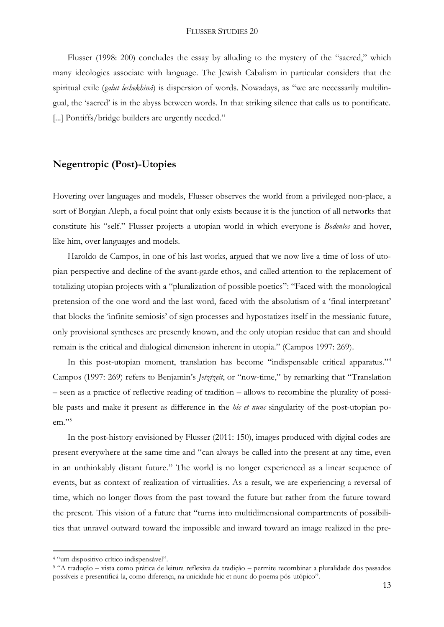Flusser (1998: 200) concludes the essay by alluding to the mystery of the "sacred," which many ideologies associate with language. The Jewish Cabalism in particular considers that the spiritual exile (*galut lechekhiná*) is dispersion of words. Nowadays, as "we are necessarily multilingual, the 'sacred' is in the abyss between words. In that striking silence that calls us to pontificate. [...] Pontiffs/bridge builders are urgently needed."

# **Negentropic (Post)-Utopies**

Hovering over languages and models, Flusser observes the world from a privileged non-place, a sort of Borgian Aleph, a focal point that only exists because it is the junction of all networks that constitute his "self." Flusser projects a utopian world in which everyone is *Bodenlos* and hover, like him, over languages and models.

Haroldo de Campos, in one of his last works, argued that we now live a time of loss of utopian perspective and decline of the avant-garde ethos, and called attention to the replacement of totalizing utopian projects with a "pluralization of possible poetics": "Faced with the monological pretension of the one word and the last word, faced with the absolutism of a 'final interpretant' that blocks the 'infinite semiosis' of sign processes and hypostatizes itself in the messianic future, only provisional syntheses are presently known, and the only utopian residue that can and should remain is the critical and dialogical dimension inherent in utopia." (Campos 1997: 269).

In this post-utopian moment, translation has become "indispensable critical apparatus." 4 Campos (1997: 269) refers to Benjamin's *Jetztzeit*, or "now-time," by remarking that "Translation – seen as a practice of reflective reading of tradition – allows to recombine the plurality of possible pasts and make it present as difference in the *hic et nunc* singularity of the post-utopian poem." 5

In the post-history envisioned by Flusser (2011: 150), images produced with digital codes are present everywhere at the same time and "can always be called into the present at any time, even in an unthinkably distant future." The world is no longer experienced as a linear sequence of events, but as context of realization of virtualities. As a result, we are experiencing a reversal of time, which no longer flows from the past toward the future but rather from the future toward the present. This vision of a future that "turns into multidimensional compartments of possibilities that unravel outward toward the impossible and inward toward an image realized in the pre-

<sup>4</sup> "um dispositivo crítico indispensável".

<sup>5</sup> "A tradução – vista como prática de leitura reflexiva da tradição – permite recombinar a pluralidade dos passados possíveis e presentificá-la, como diferença, na unicidade hic et nunc do poema pós-utópico".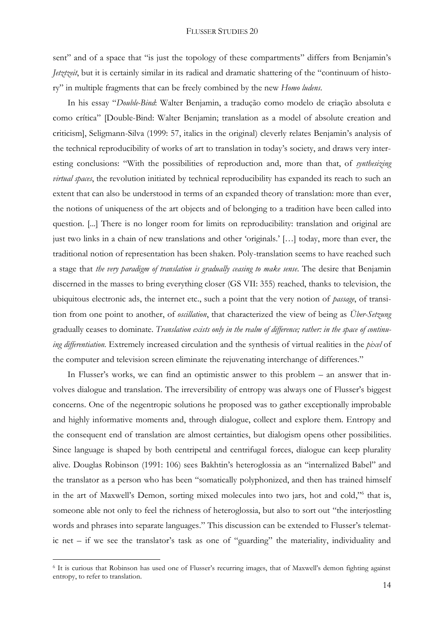sent" and of a space that "is just the topology of these compartments" differs from Benjamin's *Jetztzeit*, but it is certainly similar in its radical and dramatic shattering of the "continuum of history" in multiple fragments that can be freely combined by the new *Homo ludens*.

In his essay "*Double-Bind*: Walter Benjamin, a tradução como modelo de criação absoluta e como crítica" [Double-Bind: Walter Benjamin; translation as a model of absolute creation and criticism], Seligmann-Silva (1999: 57, italics in the original) cleverly relates Benjamin's analysis of the technical reproducibility of works of art to translation in today's society, and draws very interesting conclusions: "With the possibilities of reproduction and, more than that, of *synthesizing virtual spaces*, the revolution initiated by technical reproducibility has expanded its reach to such an extent that can also be understood in terms of an expanded theory of translation: more than ever, the notions of uniqueness of the art objects and of belonging to a tradition have been called into question. [...] There is no longer room for limits on reproducibility: translation and original are just two links in a chain of new translations and other 'originals.' […] today, more than ever, the traditional notion of representation has been shaken. Poly-translation seems to have reached such a stage that *the very paradigm of translation is gradually ceasing to make sense*. The desire that Benjamin discerned in the masses to bring everything closer (GS VII: 355) reached, thanks to television, the ubiquitous electronic ads, the internet etc., such a point that the very notion of *passage*, of transition from one point to another, of *oscillation*, that characterized the view of being as *Über-Setzung* gradually ceases to dominate. *Translation exists only in the realm of difference; rather: in the space of continuing differentiation.* Extremely increased circulation and the synthesis of virtual realities in the *pixel* of the computer and television screen eliminate the rejuvenating interchange of differences."

In Flusser's works, we can find an optimistic answer to this problem – an answer that involves dialogue and translation. The irreversibility of entropy was always one of Flusser's biggest concerns. One of the negentropic solutions he proposed was to gather exceptionally improbable and highly informative moments and, through dialogue, collect and explore them. Entropy and the consequent end of translation are almost certainties, but dialogism opens other possibilities. Since language is shaped by both centripetal and centrifugal forces, dialogue can keep plurality alive. Douglas Robinson (1991: 106) sees Bakhtin's heteroglossia as an "internalized Babel" and the translator as a person who has been "somatically polyphonized, and then has trained himself in the art of Maxwell's Demon, sorting mixed molecules into two jars, hot and cold,"<sup>6</sup> that is, someone able not only to feel the richness of heteroglossia, but also to sort out "the interjostling words and phrases into separate languages." This discussion can be extended to Flusser's telematic net – if we see the translator's task as one of "guarding" the materiality, individuality and

<sup>6</sup> It is curious that Robinson has used one of Flusser's recurring images, that of Maxwell's demon fighting against entropy, to refer to translation.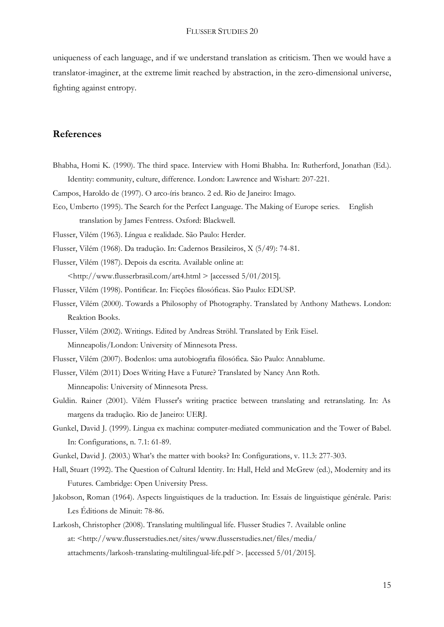uniqueness of each language, and if we understand translation as criticism. Then we would have a translator-imaginer, at the extreme limit reached by abstraction, in the zero-dimensional universe, fighting against entropy.

## **References**

- Bhabha, Homi K. (1990). The third space. Interview with Homi Bhabha. In: Rutherford, Jonathan (Ed.). Identity: community, culture, difference. London: Lawrence and Wishart: 207-221.
- Campos, Haroldo de (1997). O arco-íris branco. 2 ed. Rio de Janeiro: Imago.
- Eco, Umberto (1995). The Search for the Perfect Language. The Making of Europe series. English translation by James Fentress. Oxford: Blackwell.
- Flusser, Vilém (1963). Língua e realidade. São Paulo: Herder.
- Flusser, Vilém (1968). Da tradução. In: Cadernos Brasileiros, X (5/49): 74-81.
- Flusser, Vilém (1987). Depois da escrita. Available online at:

<http://www.flusserbrasil.com/art4.html > [accessed 5/01/2015].

- Flusser, Vilém (1998). Pontificar. In: Ficções filosóficas. São Paulo: EDUSP.
- Flusser, Vilém (2000). Towards a Philosophy of Photography. Translated by Anthony Mathews. London: Reaktion Books.
- Flusser, Vilém (2002). Writings. Edited by Andreas Ströhl. Translated by Erik Eisel. Minneapolis/London: University of Minnesota Press.
- Flusser, Vilém (2007). Bodenlos: uma autobiografia filosófica. São Paulo: Annablume.
- Flusser, Vilém (2011) Does Writing Have a Future? Translated by Nancy Ann Roth. Minneapolis: University of Minnesota Press.
- Guldin. Rainer (2001). Vilém Flusser's writing practice between translating and retranslating. In: As margens da tradução. Rio de Janeiro: UERJ.
- Gunkel, David J. (1999). Lingua ex machina: computer-mediated communication and the Tower of Babel. In: Configurations, n. 7.1: 61-89.
- Gunkel, David J. (2003.) What's the matter with books? In: Configurations, v. 11.3: 277-303.
- Hall, Stuart (1992). The Question of Cultural Identity. In: Hall, Held and McGrew (ed.), Modernity and its Futures. Cambridge: Open University Press.
- Jakobson, Roman (1964). Aspects linguistiques de la traduction. In: Essais de linguistique générale. Paris: Les Éditions de Minuit: 78-86.
- Larkosh, Christopher (2008). Translating multilingual life. Flusser Studies 7. Available online at: <http://www.flusserstudies.net/sites/www.flusserstudies.net/files/media/ attachments/larkosh-translating-multilingual-life.pdf >. [accessed 5/01/2015].